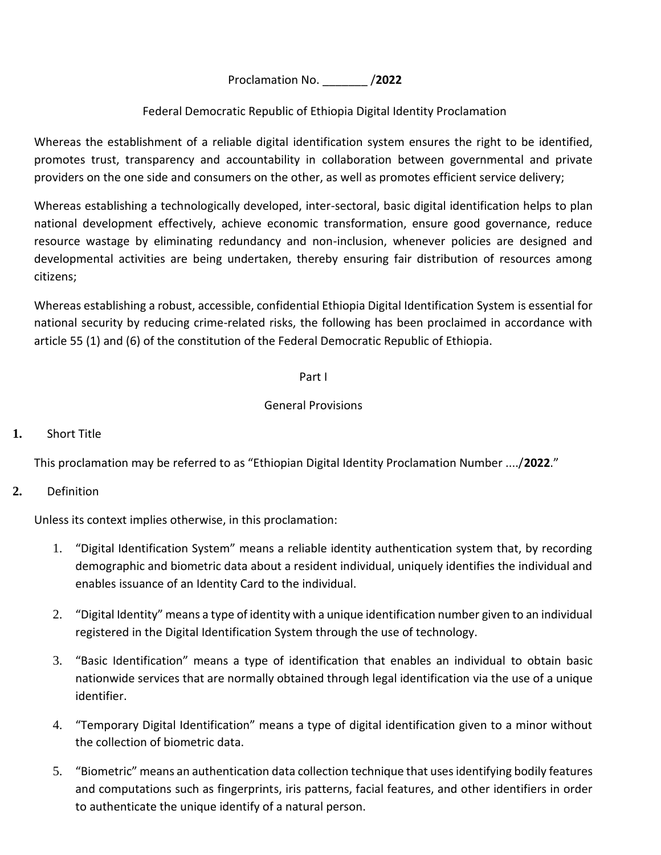Proclamation No. \_\_\_\_\_\_\_ /**2022**

# Federal Democratic Republic of Ethiopia Digital Identity Proclamation

Whereas the establishment of a reliable digital identification system ensures the right to be identified, promotes trust, transparency and accountability in collaboration between governmental and private providers on the one side and consumers on the other, as well as promotes efficient service delivery;

Whereas establishing a technologically developed, inter-sectoral, basic digital identification helps to plan national development effectively, achieve economic transformation, ensure good governance, reduce resource wastage by eliminating redundancy and non-inclusion, whenever policies are designed and developmental activities are being undertaken, thereby ensuring fair distribution of resources among citizens;

Whereas establishing a robust, accessible, confidential Ethiopia Digital Identification System is essential for national security by reducing crime-related risks, the following has been proclaimed in accordance with article 55 (1) and (6) of the constitution of the Federal Democratic Republic of Ethiopia.

## Part I

#### General Provisions

## **1.** Short Title

This proclamation may be referred to as "Ethiopian Digital Identity Proclamation Number ..../**2022**."

## **2.** Definition

Unless its context implies otherwise, in this proclamation:

- 1. "Digital Identification System" means a reliable identity authentication system that, by recording demographic and biometric data about a resident individual, uniquely identifies the individual and enables issuance of an Identity Card to the individual.
- 2. "Digital Identity" means a type of identity with a unique identification number given to an individual registered in the Digital Identification System through the use of technology.
- 3. "Basic Identification" means a type of identification that enables an individual to obtain basic nationwide services that are normally obtained through legal identification via the use of a unique identifier.
- 4. "Temporary Digital Identification" means a type of digital identification given to a minor without the collection of biometric data.
- 5. "Biometric" means an authentication data collection technique that uses identifying bodily features and computations such as fingerprints, iris patterns, facial features, and other identifiers in order to authenticate the unique identify of a natural person.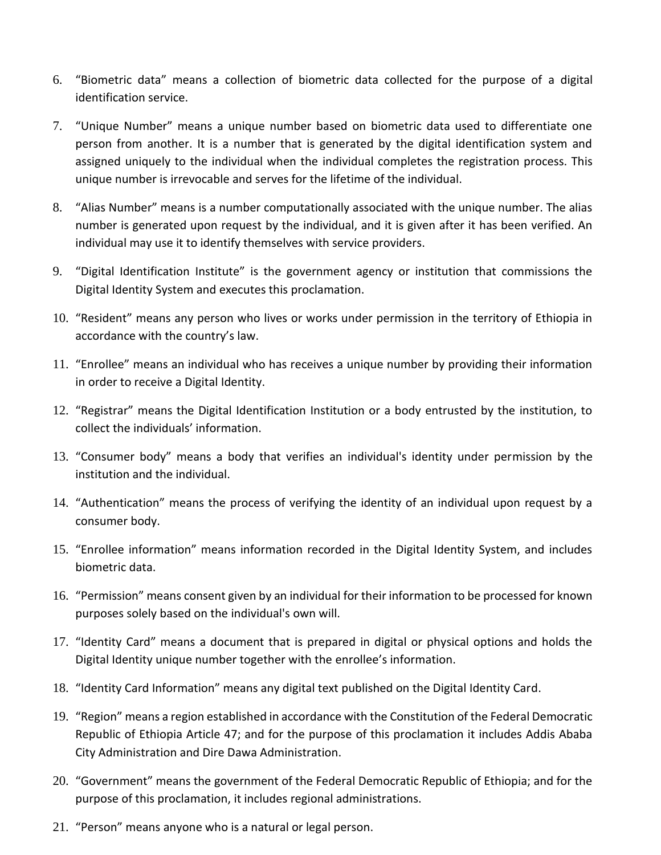- 6. "Biometric data" means a collection of biometric data collected for the purpose of a digital identification service.
- 7. "Unique Number" means a unique number based on biometric data used to differentiate one person from another. It is a number that is generated by the digital identification system and assigned uniquely to the individual when the individual completes the registration process. This unique number is irrevocable and serves for the lifetime of the individual.
- 8. "Alias Number" means is a number computationally associated with the unique number. The alias number is generated upon request by the individual, and it is given after it has been verified. An individual may use it to identify themselves with service providers.
- 9. "Digital Identification Institute" is the government agency or institution that commissions the Digital Identity System and executes this proclamation.
- 10. "Resident" means any person who lives or works under permission in the territory of Ethiopia in accordance with the country's law.
- 11. "Enrollee" means an individual who has receives a unique number by providing their information in order to receive a Digital Identity.
- 12. "Registrar" means the Digital Identification Institution or a body entrusted by the institution, to collect the individuals' information.
- 13. "Consumer body" means a body that verifies an individual's identity under permission by the institution and the individual.
- 14. "Authentication" means the process of verifying the identity of an individual upon request by a consumer body.
- 15. "Enrollee information" means information recorded in the Digital Identity System, and includes biometric data.
- 16. "Permission" means consent given by an individual for their information to be processed for known purposes solely based on the individual's own will.
- 17. "Identity Card" means a document that is prepared in digital or physical options and holds the Digital Identity unique number together with the enrollee's information.
- 18. "Identity Card Information" means any digital text published on the Digital Identity Card.
- 19. "Region" means a region established in accordance with the Constitution of the Federal Democratic Republic of Ethiopia Article 47; and for the purpose of this proclamation it includes Addis Ababa City Administration and Dire Dawa Administration.
- 20. "Government" means the government of the Federal Democratic Republic of Ethiopia; and for the purpose of this proclamation, it includes regional administrations.
- 21. "Person" means anyone who is a natural or legal person.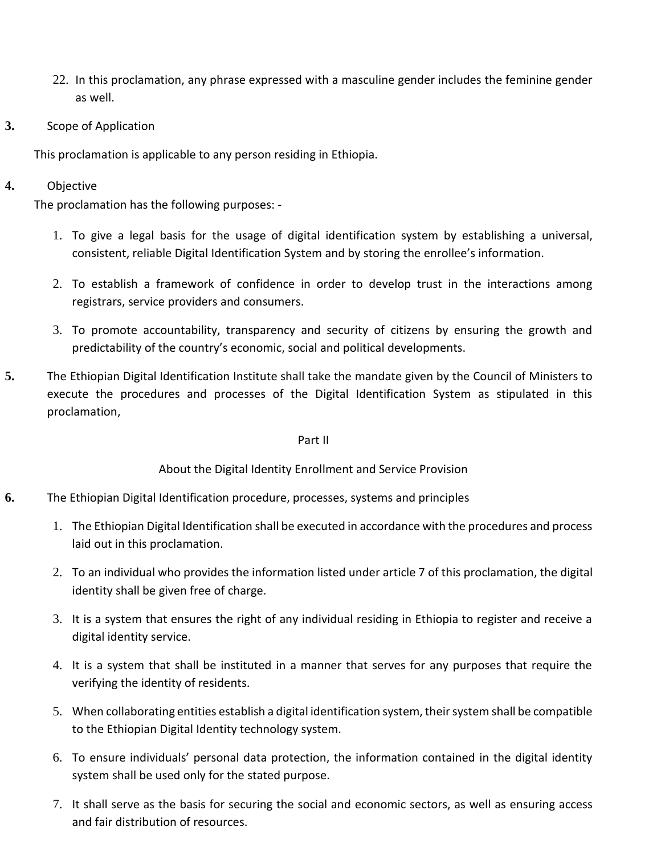- 22. In this proclamation, any phrase expressed with a masculine gender includes the feminine gender as well.
- **3.** Scope of Application

This proclamation is applicable to any person residing in Ethiopia.

# **4.** Objective

The proclamation has the following purposes: -

- 1. To give a legal basis for the usage of digital identification system by establishing a universal, consistent, reliable Digital Identification System and by storing the enrollee's information.
- 2. To establish a framework of confidence in order to develop trust in the interactions among registrars, service providers and consumers.
- 3. To promote accountability, transparency and security of citizens by ensuring the growth and predictability of the country's economic, social and political developments.
- **5.** The Ethiopian Digital Identification Institute shall take the mandate given by the Council of Ministers to execute the procedures and processes of the Digital Identification System as stipulated in this proclamation,

#### Part II

About the Digital Identity Enrollment and Service Provision

- **6.** The Ethiopian Digital Identification procedure, processes, systems and principles
	- 1. The Ethiopian Digital Identification shall be executed in accordance with the procedures and process laid out in this proclamation.
	- 2. To an individual who provides the information listed under article 7 of this proclamation, the digital identity shall be given free of charge.
	- 3. It is a system that ensures the right of any individual residing in Ethiopia to register and receive a digital identity service.
	- 4. It is a system that shall be instituted in a manner that serves for any purposes that require the verifying the identity of residents.
	- 5. When collaborating entities establish a digital identification system, their system shall be compatible to the Ethiopian Digital Identity technology system.
	- 6. To ensure individuals' personal data protection, the information contained in the digital identity system shall be used only for the stated purpose.
	- 7. It shall serve as the basis for securing the social and economic sectors, as well as ensuring access and fair distribution of resources.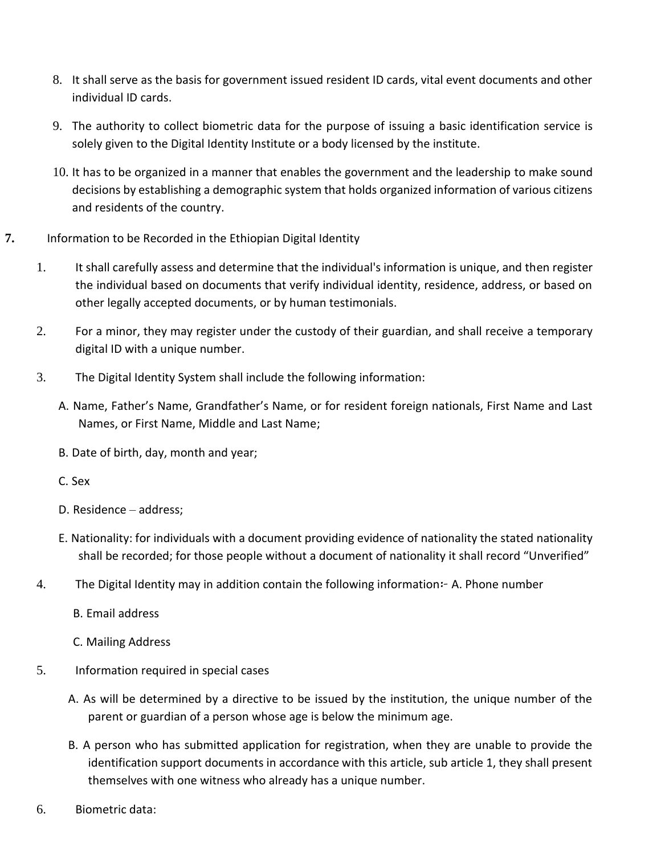- 8. It shall serve as the basis for government issued resident ID cards, vital event documents and other individual ID cards.
- 9. The authority to collect biometric data for the purpose of issuing a basic identification service is solely given to the Digital Identity Institute or a body licensed by the institute.
- 10. It has to be organized in a manner that enables the government and the leadership to make sound decisions by establishing a demographic system that holds organized information of various citizens and residents of the country.
- **7.** Information to be Recorded in the Ethiopian Digital Identity
	- 1. It shall carefully assess and determine that the individual's information is unique, and then register the individual based on documents that verify individual identity, residence, address, or based on other legally accepted documents, or by human testimonials.
	- 2. For a minor, they may register under the custody of their guardian, and shall receive a temporary digital ID with a unique number.
	- 3. The Digital Identity System shall include the following information:
		- A. Name, Father's Name, Grandfather's Name, or for resident foreign nationals, First Name and Last Names, or First Name, Middle and Last Name;
		- B. Date of birth, day, month and year;
		- C. Sex
		- D. Residence address;
		- E. Nationality: for individuals with a document providing evidence of nationality the stated nationality shall be recorded; for those people without a document of nationality it shall record "Unverified"
	- 4. The Digital Identity may in addition contain the following information፦ A. Phone number
		- B. Email address
		- C. Mailing Address
	- 5. Information required in special cases
		- A. As will be determined by a directive to be issued by the institution, the unique number of the parent or guardian of a person whose age is below the minimum age.
		- B. A person who has submitted application for registration, when they are unable to provide the identification support documents in accordance with this article, sub article 1, they shall present themselves with one witness who already has a unique number.
	- 6. Biometric data: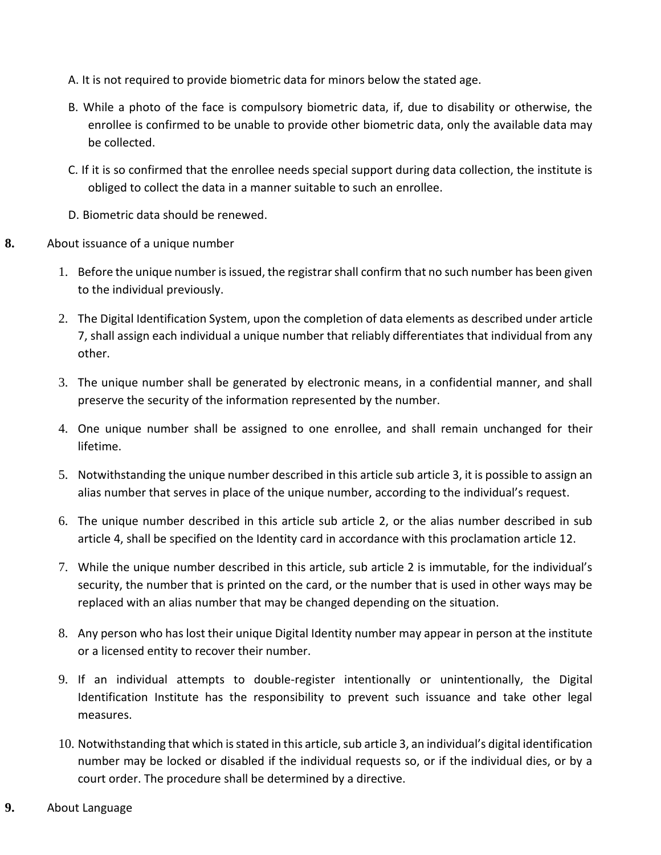- A. It is not required to provide biometric data for minors below the stated age.
- B. While a photo of the face is compulsory biometric data, if, due to disability or otherwise, the enrollee is confirmed to be unable to provide other biometric data, only the available data may be collected.
- C. If it is so confirmed that the enrollee needs special support during data collection, the institute is obliged to collect the data in a manner suitable to such an enrollee.
- D. Biometric data should be renewed.
- **8.** About issuance of a unique number
	- 1. Before the unique number is issued, the registrar shall confirm that no such number has been given to the individual previously.
	- 2. The Digital Identification System, upon the completion of data elements as described under article 7, shall assign each individual a unique number that reliably differentiates that individual from any other.
	- 3. The unique number shall be generated by electronic means, in a confidential manner, and shall preserve the security of the information represented by the number.
	- 4. One unique number shall be assigned to one enrollee, and shall remain unchanged for their lifetime.
	- 5. Notwithstanding the unique number described in this article sub article 3, it is possible to assign an alias number that serves in place of the unique number, according to the individual's request.
	- 6. The unique number described in this article sub article 2, or the alias number described in sub article 4, shall be specified on the Identity card in accordance with this proclamation article 12.
	- 7. While the unique number described in this article, sub article 2 is immutable, for the individual's security, the number that is printed on the card, or the number that is used in other ways may be replaced with an alias number that may be changed depending on the situation.
	- 8. Any person who has lost their unique Digital Identity number may appear in person at the institute or a licensed entity to recover their number.
	- 9. If an individual attempts to double-register intentionally or unintentionally, the Digital Identification Institute has the responsibility to prevent such issuance and take other legal measures.
	- 10. Notwithstanding that which is stated in this article, sub article 3, an individual's digital identification number may be locked or disabled if the individual requests so, or if the individual dies, or by a court order. The procedure shall be determined by a directive.
- **9.** About Language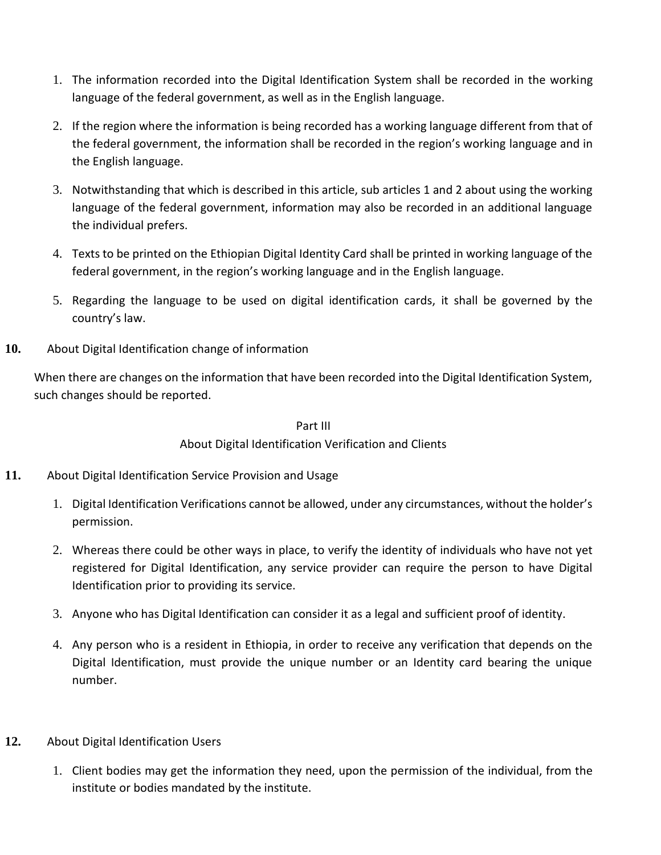- 1. The information recorded into the Digital Identification System shall be recorded in the working language of the federal government, as well as in the English language.
- 2. If the region where the information is being recorded has a working language different from that of the federal government, the information shall be recorded in the region's working language and in the English language.
- 3. Notwithstanding that which is described in this article, sub articles 1 and 2 about using the working language of the federal government, information may also be recorded in an additional language the individual prefers.
- 4. Texts to be printed on the Ethiopian Digital Identity Card shall be printed in working language of the federal government, in the region's working language and in the English language.
- 5. Regarding the language to be used on digital identification cards, it shall be governed by the country's law.
- **10.** About Digital Identification change of information

When there are changes on the information that have been recorded into the Digital Identification System, such changes should be reported.

#### Part III

## About Digital Identification Verification and Clients

- **11.** About Digital Identification Service Provision and Usage
	- 1. Digital Identification Verifications cannot be allowed, under any circumstances, without the holder's permission.
	- 2. Whereas there could be other ways in place, to verify the identity of individuals who have not yet registered for Digital Identification, any service provider can require the person to have Digital Identification prior to providing its service.
	- 3. Anyone who has Digital Identification can consider it as a legal and sufficient proof of identity.
	- 4. Any person who is a resident in Ethiopia, in order to receive any verification that depends on the Digital Identification, must provide the unique number or an Identity card bearing the unique number.
- **12.** About Digital Identification Users
	- 1. Client bodies may get the information they need, upon the permission of the individual, from the institute or bodies mandated by the institute.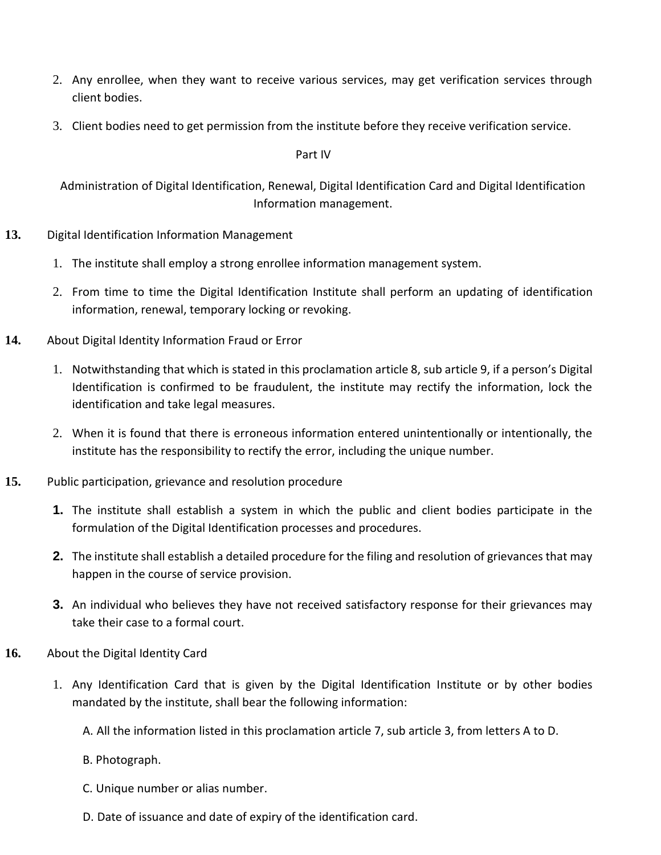- 2. Any enrollee, when they want to receive various services, may get verification services through client bodies.
- 3. Client bodies need to get permission from the institute before they receive verification service.

Part IV

Administration of Digital Identification, Renewal, Digital Identification Card and Digital Identification Information management.

- **13.** Digital Identification Information Management
	- 1. The institute shall employ a strong enrollee information management system.
	- 2. From time to time the Digital Identification Institute shall perform an updating of identification information, renewal, temporary locking or revoking.
- **14.** About Digital Identity Information Fraud or Error
	- 1. Notwithstanding that which is stated in this proclamation article 8, sub article 9, if a person's Digital Identification is confirmed to be fraudulent, the institute may rectify the information, lock the identification and take legal measures.
	- 2. When it is found that there is erroneous information entered unintentionally or intentionally, the institute has the responsibility to rectify the error, including the unique number.
- **15.** Public participation, grievance and resolution procedure
	- **1.** The institute shall establish a system in which the public and client bodies participate in the formulation of the Digital Identification processes and procedures.
	- **2.** The institute shall establish a detailed procedure for the filing and resolution of grievances that may happen in the course of service provision.
	- **3.** An individual who believes they have not received satisfactory response for their grievances may take their case to a formal court.
- **16.** About the Digital Identity Card
	- 1. Any Identification Card that is given by the Digital Identification Institute or by other bodies mandated by the institute, shall bear the following information:

A. All the information listed in this proclamation article 7, sub article 3, from letters A to D.

- B. Photograph.
- C. Unique number or alias number.
- D. Date of issuance and date of expiry of the identification card.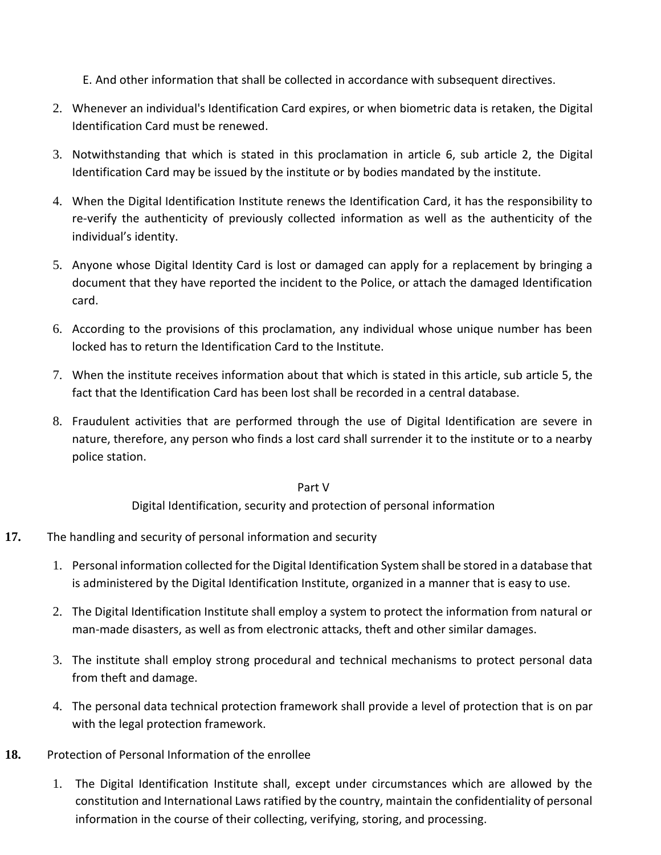E. And other information that shall be collected in accordance with subsequent directives.

- 2. Whenever an individual's Identification Card expires, or when biometric data is retaken, the Digital Identification Card must be renewed.
- 3. Notwithstanding that which is stated in this proclamation in article 6, sub article 2, the Digital Identification Card may be issued by the institute or by bodies mandated by the institute.
- 4. When the Digital Identification Institute renews the Identification Card, it has the responsibility to re-verify the authenticity of previously collected information as well as the authenticity of the individual's identity.
- 5. Anyone whose Digital Identity Card is lost or damaged can apply for a replacement by bringing a document that they have reported the incident to the Police, or attach the damaged Identification card.
- 6. According to the provisions of this proclamation, any individual whose unique number has been locked has to return the Identification Card to the Institute.
- 7. When the institute receives information about that which is stated in this article, sub article 5, the fact that the Identification Card has been lost shall be recorded in a central database.
- 8. Fraudulent activities that are performed through the use of Digital Identification are severe in nature, therefore, any person who finds a lost card shall surrender it to the institute or to a nearby police station.

Part V

Digital Identification, security and protection of personal information

- **17.** The handling and security of personal information and security
	- 1. Personal information collected for the Digital Identification System shall be stored in a database that is administered by the Digital Identification Institute, organized in a manner that is easy to use.
	- 2. The Digital Identification Institute shall employ a system to protect the information from natural or man-made disasters, as well as from electronic attacks, theft and other similar damages.
	- 3. The institute shall employ strong procedural and technical mechanisms to protect personal data from theft and damage.
	- 4. The personal data technical protection framework shall provide a level of protection that is on par with the legal protection framework.
- **18.** Protection of Personal Information of the enrollee
	- 1. The Digital Identification Institute shall, except under circumstances which are allowed by the constitution and International Laws ratified by the country, maintain the confidentiality of personal information in the course of their collecting, verifying, storing, and processing.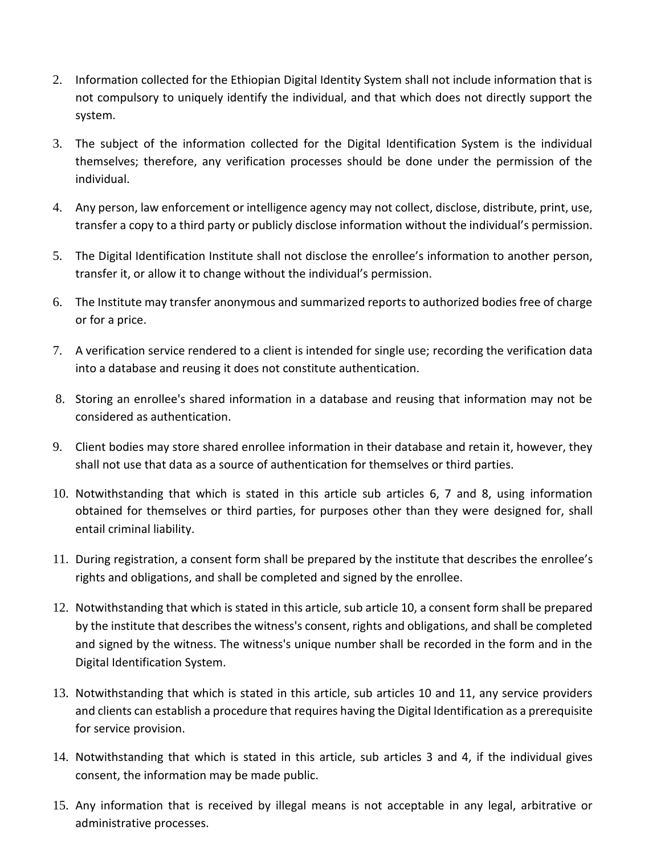- 2. Information collected for the Ethiopian Digital Identity System shall not include information that is not compulsory to uniquely identify the individual, and that which does not directly support the system.
- 3. The subject of the information collected for the Digital Identification System is the individual themselves; therefore, any verification processes should be done under the permission of the individual.
- 4. Any person, law enforcement or intelligence agency may not collect, disclose, distribute, print, use, transfer a copy to a third party or publicly disclose information without the individual's permission.
- 5. The Digital Identification Institute shall not disclose the enrollee's information to another person, transfer it, or allow it to change without the individual's permission.
- 6. The Institute may transfer anonymous and summarized reports to authorized bodies free of charge or for a price.
- 7. A verification service rendered to a client is intended for single use; recording the verification data into a database and reusing it does not constitute authentication.
- 8. Storing an enrollee's shared information in a database and reusing that information may not be considered as authentication.
- 9. Client bodies may store shared enrollee information in their database and retain it, however, they shall not use that data as a source of authentication for themselves or third parties.
- 10. Notwithstanding that which is stated in this article sub articles 6, 7 and 8, using information obtained for themselves or third parties, for purposes other than they were designed for, shall entail criminal liability.
- 11. During registration, a consent form shall be prepared by the institute that describes the enrollee's rights and obligations, and shall be completed and signed by the enrollee.
- 12. Notwithstanding that which is stated in this article, sub article 10, a consent form shall be prepared by the institute that describes the witness's consent, rights and obligations, and shall be completed and signed by the witness. The witness's unique number shall be recorded in the form and in the Digital Identification System.
- 13. Notwithstanding that which is stated in this article, sub articles 10 and 11, any service providers and clients can establish a procedure that requires having the Digital Identification as a prerequisite for service provision.
- 14. Notwithstanding that which is stated in this article, sub articles 3 and 4, if the individual gives consent, the information may be made public.
- 15. Any information that is received by illegal means is not acceptable in any legal, arbitrative or administrative processes.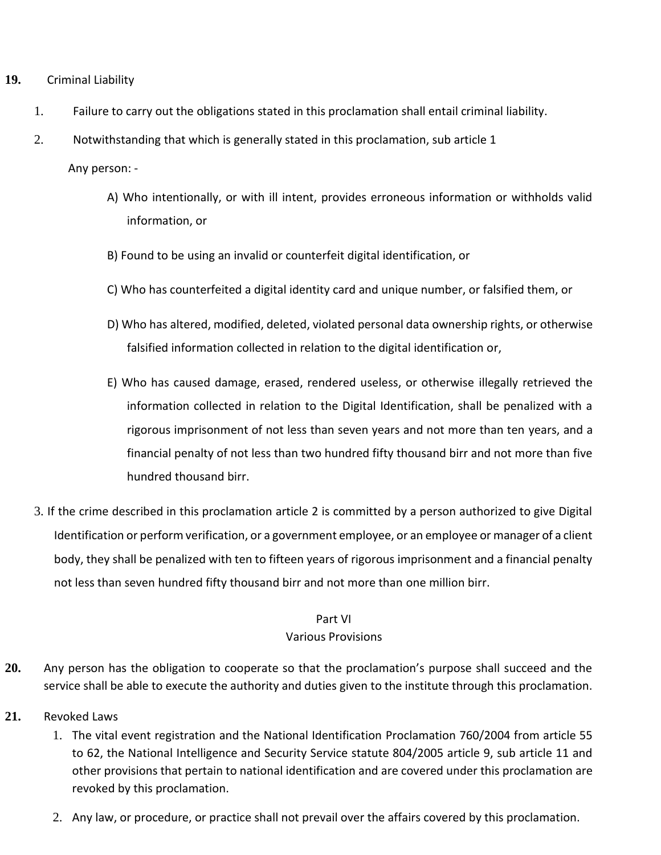- **19.** Criminal Liability
	- 1. Failure to carry out the obligations stated in this proclamation shall entail criminal liability.
	- 2. Notwithstanding that which is generally stated in this proclamation, sub article 1

Any person: -

- A) Who intentionally, or with ill intent, provides erroneous information or withholds valid information, or
- B) Found to be using an invalid or counterfeit digital identification, or
- C) Who has counterfeited a digital identity card and unique number, or falsified them, or
- D) Who has altered, modified, deleted, violated personal data ownership rights, or otherwise falsified information collected in relation to the digital identification or,
- E) Who has caused damage, erased, rendered useless, or otherwise illegally retrieved the information collected in relation to the Digital Identification, shall be penalized with a rigorous imprisonment of not less than seven years and not more than ten years, and a financial penalty of not less than two hundred fifty thousand birr and not more than five hundred thousand birr.
- 3. If the crime described in this proclamation article 2 is committed by a person authorized to give Digital Identification or perform verification, or a government employee, or an employee or manager of a client body, they shall be penalized with ten to fifteen years of rigorous imprisonment and a financial penalty not less than seven hundred fifty thousand birr and not more than one million birr.

#### Part VI Various Provisions

- **20.** Any person has the obligation to cooperate so that the proclamation's purpose shall succeed and the service shall be able to execute the authority and duties given to the institute through this proclamation.
- **21.** Revoked Laws
	- 1. The vital event registration and the National Identification Proclamation 760/2004 from article 55 to 62, the National Intelligence and Security Service statute 804/2005 article 9, sub article 11 and other provisions that pertain to national identification and are covered under this proclamation are revoked by this proclamation.
	- 2. Any law, or procedure, or practice shall not prevail over the affairs covered by this proclamation.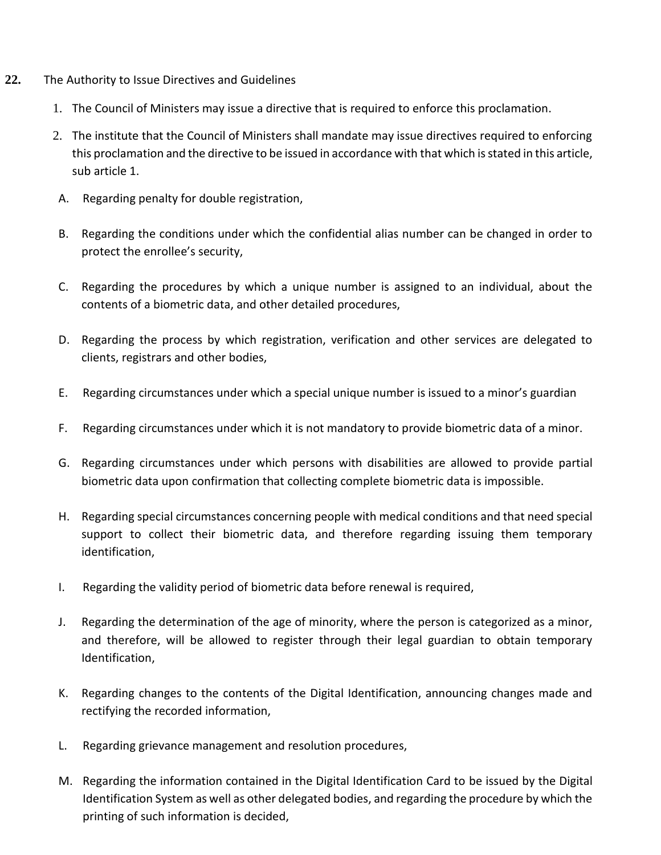- **22.** The Authority to Issue Directives and Guidelines
	- 1. The Council of Ministers may issue a directive that is required to enforce this proclamation.
	- 2. The institute that the Council of Ministers shall mandate may issue directives required to enforcing this proclamation and the directive to be issued in accordance with that which is stated in this article, sub article 1.
	- A. Regarding penalty for double registration,
	- B. Regarding the conditions under which the confidential alias number can be changed in order to protect the enrollee's security,
	- C. Regarding the procedures by which a unique number is assigned to an individual, about the contents of a biometric data, and other detailed procedures,
	- D. Regarding the process by which registration, verification and other services are delegated to clients, registrars and other bodies,
	- E. Regarding circumstances under which a special unique number is issued to a minor's guardian
	- F. Regarding circumstances under which it is not mandatory to provide biometric data of a minor.
	- G. Regarding circumstances under which persons with disabilities are allowed to provide partial biometric data upon confirmation that collecting complete biometric data is impossible.
	- H. Regarding special circumstances concerning people with medical conditions and that need special support to collect their biometric data, and therefore regarding issuing them temporary identification,
	- I. Regarding the validity period of biometric data before renewal is required,
	- J. Regarding the determination of the age of minority, where the person is categorized as a minor, and therefore, will be allowed to register through their legal guardian to obtain temporary Identification,
	- K. Regarding changes to the contents of the Digital Identification, announcing changes made and rectifying the recorded information,
	- L. Regarding grievance management and resolution procedures,
	- M. Regarding the information contained in the Digital Identification Card to be issued by the Digital Identification System as well as other delegated bodies, and regarding the procedure by which the printing of such information is decided,